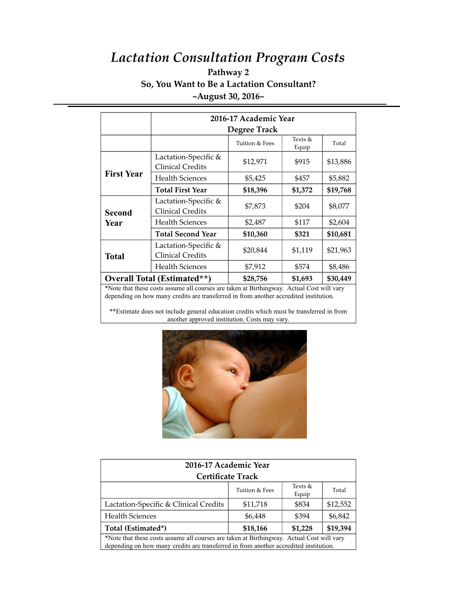## *Lactation Consultation Program Costs* **Pathway 2**

## **So, You Want to Be a Lactation Consultant? ~August 30, 2016~**

|                                                                                           | 2016-17 Academic Year                           |                |                  |          |  |
|-------------------------------------------------------------------------------------------|-------------------------------------------------|----------------|------------------|----------|--|
|                                                                                           | <b>Degree Track</b>                             |                |                  |          |  |
|                                                                                           |                                                 | Tuition & Fees | Texts &<br>Equip | Total    |  |
| <b>First Year</b>                                                                         | Lactation-Specific &<br><b>Clinical Credits</b> | \$12,971       | \$915            | \$13,886 |  |
|                                                                                           | <b>Health Sciences</b>                          | \$5,425        | \$457            | \$5,882  |  |
|                                                                                           | <b>Total First Year</b>                         | \$18,396       | \$1,372          | \$19,768 |  |
| <b>Second</b><br>Year                                                                     | Lactation-Specific &<br><b>Clinical Credits</b> | \$7,873        | \$204            | \$8,077  |  |
|                                                                                           | Health Sciences                                 | \$2,487        | \$117            | \$2,604  |  |
|                                                                                           | <b>Total Second Year</b>                        | \$10,360       | \$321            | \$10,681 |  |
| <b>Total</b>                                                                              | Lactation-Specific &<br><b>Clinical Credits</b> | \$20,844       | \$1,119          | \$21,963 |  |
|                                                                                           | <b>Health Sciences</b>                          | \$7,912        | \$574            | \$8,486  |  |
| <b>Overall Total (Estimated**)</b>                                                        |                                                 | \$28,756       | \$1,693          | \$30,449 |  |
| *Note that these costs assume all courses are taken at Birthingway. Actual Cost will vary |                                                 |                |                  |          |  |

depending on how many credits are transferred in from another accredited institution.

\*\*Estimate does not include general education credits which must be transferred in from another approved institution. Costs may vary.



| 2016-17 Academic Year                                                                                                                                                              |                |                  |          |  |  |  |
|------------------------------------------------------------------------------------------------------------------------------------------------------------------------------------|----------------|------------------|----------|--|--|--|
| <b>Certificate Track</b>                                                                                                                                                           |                |                  |          |  |  |  |
|                                                                                                                                                                                    | Tuition & Fees | Texts &<br>Equip | Total    |  |  |  |
| Lactation-Specific & Clinical Credits                                                                                                                                              | \$11,718       | \$834            | \$12,552 |  |  |  |
| <b>Health Sciences</b>                                                                                                                                                             | \$6,448        | \$394            | \$6,842  |  |  |  |
| Total (Estimated*)                                                                                                                                                                 | \$18,166       | \$1,228          | \$19,394 |  |  |  |
| *Note that these costs assume all courses are taken at Birthingway. Actual Cost will vary<br>depending on how many credits are transferred in from another accredited institution. |                |                  |          |  |  |  |